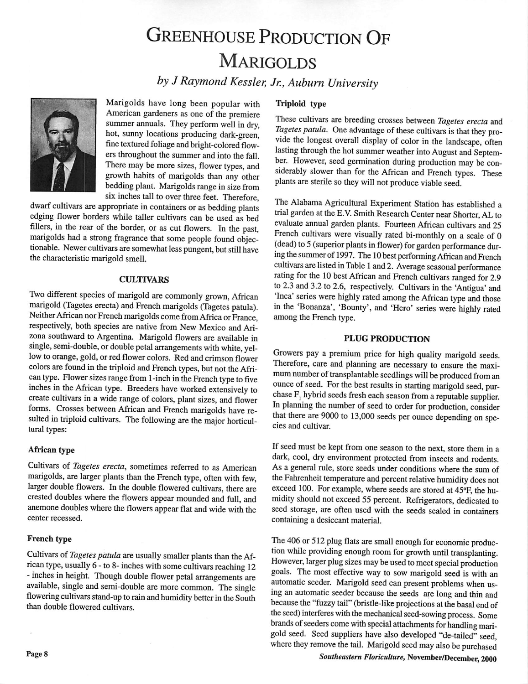# GREENHOUSE PRODUCTION OF **MARIGOLDS**

**by JRaymond Kessler, Jr., Auburn University**



Marigolds have long been popular with American gardeners as one of the premiere summer annuals. They perform well in dry, hot, sunny locations producing dark-green, fine textured foliage andbright-colored flow ers throughout the summer and into the fall. There may be more sizes, flower types, and growth habits of marigolds than any other bedding plant. Marigolds range in size from six inches tall to over three feet. Therefore,

dwarf cultivars are appropriate in containers or as bedding plants edging flower borders while taller cultivars can be used as bed fillers, in the rear of the border, or as cut flowers. In the past, marigolds had <sup>a</sup> strong fragrance that some people found objec tionable. Newer cultivars are somewhat less pungent, but still have the characteristic marigold smell.

#### *CULTIVARS*

Two different species of marigold are commonly grown, African marigold (Tagetes erecta) and French marigolds (Tagetes patula). Neither African nor French marigolds come from Africa or France, respectively, both species are native from New Mexico and Ari zona southward to Argentina. Marigold flowers are available in single, semi-double, or double petal arrangements with white, yellow to orange, gold, or red flower colors. Red and crimson flower colors are found in the triploid and French types, but not the African type. Flower sizes range from 1-inch in the French type to five inches in the African type. Breeders have worked extensively to create cultivars in <sup>a</sup> wide range of colors, plant sizes, and flower forms. Crosses between African and French marigolds have re sulted in triploid cultivars. The following are the major horticultural types:

#### *African type*

Cultivars of **Tagetes erecta,** sometimes referred to as American marigolds, are larger plants than the French type, often with few, larger double flowers. In the double flowered cultivars, there are crested doubles where the flowers appear mounded and full, and anemone doubles where the flowers appear flat and wide with the center recessed.

#### *French type*

Cultivars of **Tagetes patula** are usually smaller plants than the Af rican type, usually 6-to8-inches with some cultivars reaching 12 - inches in height. Though double flower petal arrangements are available, single and semi-double are more common. The single flowering cultivars stand-up to rain and humidity better in the South than double flowered cultivars.

#### *Triploid type*

These cultivars are breeding crosses between **Tagetes erecta** and Tagetes patula. One advantage of these cultivars is that they provide the longest overall display of color in the landscape, often lasting through the hot summer weather into August and Septem ber. However, seed germination during production may be con siderably slower than for the African and French types. These plants are sterile so they will not produce viable seed.

The Alabama Agricultural Experiment Station has established <sup>a</sup> trial garden at the E.V. Smith Research Center near Shorter, AL to evaluate annual garden plants. Fourteen African cultivars and 25 French cultivars were visually rated bi-monthly on <sup>a</sup> scale of 0 (dead) to 5 (superior plants in flower) for garden performance during the summer of 1997. The 10 best performingAfrican and French cultivars are listed in Table 1and 2. Average seasonal performance rating for the 10 best African and French cultivars ranged for 2.9 to 2.3 and 3.2 to 2.6, respectively. Cultivars in the 'Antigua' and 'Inca' series were highly rated among the African type and those in the 'Bonanza', 'Bounty', and 'Hero' series were highly rated among the French type.

#### *PLUG PRODUCTION*

Growers pay <sup>a</sup> premium price for high quality marigold seeds. Therefore, care and planning are necessary to ensure the maxi mum number of transplantable seedlings will be produced from an ounce of seed. For the best results in starting marigold seed, purchase F, hybrid seeds fresh each season from a reputable supplier. In planning the number of seed to order for production, consider that there are 9000 to 13,000 seeds per ounce depending on spe cies and cultivar.

If seedmust be kept from one season to the next, store them in <sup>a</sup> dark, cool, dry environment protected from insects and rodents. As <sup>a</sup> general rule, store seeds under conditions where the sum of the Fahrenheit temperature and percent relative humidity does not exceed 100. For example, where seeds are stored at 45°F, the humidity should not exceed 55 percent. Refrigerators, dedicated to seed storage, are often used with the seeds sealed in containers containing <sup>a</sup> desiccant material.

The 406 or 512 plug flats are small enough for economic production while providing enough room for growth until transplanting. However, larger plug sizes may be used to meet special production goals. The most effective way to sow marigold seed is with an automatic seeder. Marigold seed can present problems when using an automatic seeder because the seeds are long and thin and because the "fuzzy tail" (bristle-like projections at the basal end of the seed) interferes with the mechanical seed-sowing process. Some brands of seeders come with special attachments for handling marigold seed. Seed suppliers have also developed "de-tailed" seed where they remove the tail. Marigold seed may also be purchased

*Southeastern Floriculture, November/December, 2000*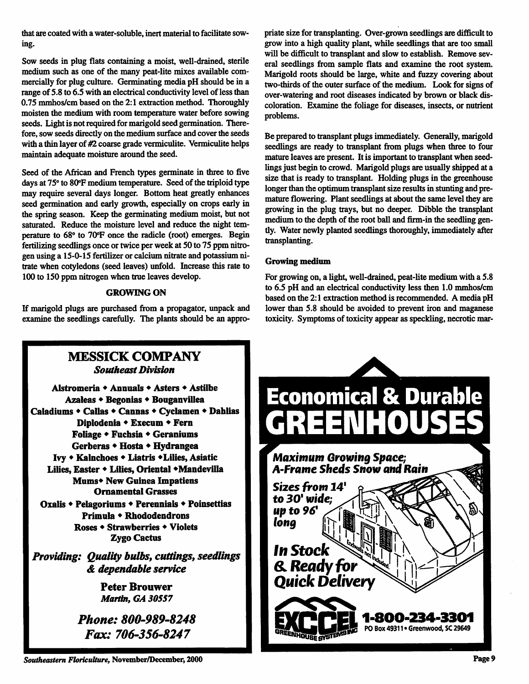that are coated with a water-soluble, inert material to facilitate sow ing.

Sow seeds in plug flats containing a moist, well-drained, sterile medium such as one of the many peat-lite mixes available com mercially for plug culture. Germinating media pH should be in a range of 5.8 to 6.5 with an electrical conductivity level of less than 0.75 mmhos/cm based on the 2:1 extraction method. Thoroughly moisten the medium with room temperature water before sowing seeds. Light is not required for marigold seed germination. There fore, sow seeds directly on the medium surface and cover the seeds with a thin layer of #2 coarse grade vermiculite. Vermiculite helps maintain adequate moisture around the seed.

Seed of the African and French types germinate in three to five days at 75° to 80°F medium temperature. Seed of the triploid type may require several days longer. Bottom heat greatly enhances seed germination and early growth, especially on crops early in the spring season. Keep the germinating medium moist, but not saturated. Reduce the moisture level and reduce the night tem perature to 68° to 70°F once the radicle (root) emerges. Begin fertilizing seedlings once or twice per week at 50 to 75 ppm nitro gen using a 15-0-15 fertilizer or calcium nitrate and potassium nitrate when cotyledons (seed leaves) unfold. Increase this rate to 100 to 150 ppm nitrogen when true leaves develop.

## *GROWING ON*

If marigold plugs are purchased from a propagator, unpack and examine the seedlings carefully. The plants should be an appro

priate size for transplanting. Over-grown seedlings are difficult to grow into a high quality plant, while seedlings that are too small will be difficult to transplant and slow to establish. Remove sev eral seedlings from sample flats and examine the root system. Marigold roots should be large, white and fuzzy covering about two-thirds of the outer surface of the medium. Look for signs of over-watering and root diseases indicated by brown or black dis coloration. Examine the foliage for diseases, insects, or nutrient problems.

Be prepared to transplant plugs immediately. Generally, marigold seedlings are ready to transplant from plugs when three to four mature leaves are present. It is important to transplant when seed lings just begin to crowd. Marigold plugs are usually shipped at a size that is ready to transplant. Holding plugs in the greenhouse longer than the optimum transplant size results in stunting and premature flowering. Plant seedlings at about the same level they are growing in the plug trays, but no deeper. Dibble the transplant medium to the depth of the root ball and firm-in the seedling gently. Water newly planted seedlings thoroughly, immediately after transplanting.

## *Growing medium*

For growing on, a light, well-drained, peat-lite medium with a 5.8 to 6.5 pH and an electrical conductivity less then 1.0 mmhos/cm based on the 2:1 extraction method is recommended. A media pH lower than 5.8 should be avoided to prevent iron and maganese toxicity. Symptoms of toxicity appear as speckling, necrotic mar-



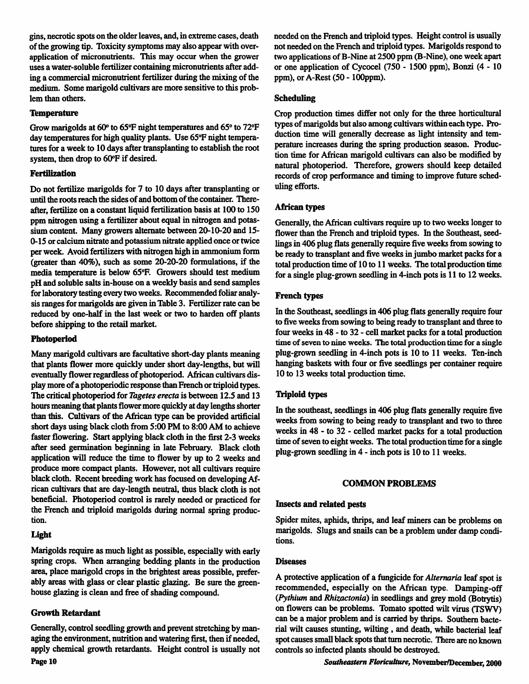gins,necrotic spots on the older leaves,and, in extreme cases, death of the growing tip. Toxicity symptoms may also appear with overapplication of micronutrients. This may occur when the grower uses a water-soluble fertilizer containing micronutrients after add ing a commercial micronutrient fertilizer during the mixing of the medium. Some marigold cultivars are more sensitive to this prob lem than others.

### *Temperature*

Grow marigolds at 60° to 65°F night temperatures and 65° to 72°F day temperatures for high quality plants. Use 65°F night temperatures for a week to 10 days after transplanting to establish the root system, then drop to 60°F if desired.

## *Fertilization*

Do not fertilize marigolds for 7 to 10 days after transplanting or until the roots reach the sides of and bottom of the container. Thereafter, fertilize on a constant liquid fertilization basis at 100 to 150 ppm nitrogen using a fertilizer about equal in nitrogen and potas sium content. Many growers alternate between 20-10-20 and 15- 0-15 or calcium nitrate and potassium nitrate applied once or twice per week. Avoid fertilizers with nitrogen high in ammonium form (greater than 40%), such as some 20-20-20 formulations, if the media temperature is below 65°F. Growers should test medium pH and soluble salts in-house on a weekly basis and send samples for laboratory testing every two weeks. Recommended foliar analy sis ranges for marigolds are given in Table 3. Fertilizer rate can be reduced by one-half in the last week or two to harden off plants before shipping to the retail market.

## *Photoperiod*

Many marigold cultivars are facultative short-day plants meaning that plants flower more quickly under short day-lengths, but will eventually flower regardless of photoperiod. African cultivars display more of a photoperiodic response than French or triploid types. The critical photoperiod for *Tagetes erecta* is between 12.5 and 13 hours meaning that plants flower more quickly at day lengths shorter than this. Cultivars of the African type can be provided artificial short days using black cloth from 5:00 PM to 8:00 AM to achieve faster flowering. Start applying black cloth in the first 2-3 weeks after seed germination beginning in late February. Black cloth application will reduce the time to flower by up to 2 weeks and produce more compact plants. However, not all cultivars require black cloth. Recent breeding work has focused on developing African cultivars that are day-length neutral, thus black cloth is not beneficial. Photoperiod control is rarely needed or practiced for the French and triploid marigolds during normal spring produc tion.

# *Light*

Marigolds require as much light as possible, especially with early spring crops. When arranging bedding plants in the production area, place marigold crops in the brightest areas possible, prefer ably areas with glass or clear plastic glazing. Be sure the green house glazing is clean and free of shading compound.

# *Growth Retardant*

Generally, control seedling growth and prevent stretching by managing the environment, nutrition and watering first, then if needed, apply chemical growth retardants. Height control is usually not

needed on the French and triploid types. Height control is usually not needed on the French and triploid types. Marigoldsrespond to two applications of B-Nine at 2500 ppm (B-Nine), one week apart or one application of Cycocel (750 - 1500 ppm), Bonzi (4-10 ppm), or A-Rest (50 - lOOppm).

# *Scheduling*

Crop production times differ not only for the three horticultural types of marigolds but also among cultivars within each type. Pro duction time will generally decrease as light intensity and tem perature increases during the spring production season. Produc tion time for African marigold cultivars can also be modified by natural photoperiod. Therefore, growers should keep detailed records of crop performance and timing to improve future sched uling efforts.

# *African types*

Generally, the African cultivars require up to two weeks longer to flower than the French and triploid types. In the Southeast, seed lings in 406 plug flats generally require five weeks from sowing to be ready to transplant and five weeks in jumbo market packs for a total production time of 10 to 11 weeks. The total production time for a single plug-grown seedling in 4-inch pots is 11 to 12 weeks.

# *French* types

In the Southeast, seedlings in 406 plug flats generally require four to five weeks from sowing to being ready to transplant and three to four weeks in 48 - to 32 - cell market packs for a total production time of seven to nine weeks. The total production time for a single plug-grown seedling in 4-inch pots is 10 to 11 weeks. Ten-inch hanging baskets with four or five seedlings per container require 10 to 13 weeks total production time.

# *Triploid* types

In the southeast, seedlings in 406 plug flats generally require five weeks from sowing to being ready to transplant and two to three weeks in 48 - to 32 - celled market packs for a total production time of seven to eight weeks. The total production time for a single plug-grown seedling in 4 - inch pots is 10 to 11 weeks.

# *COMMON PROBLEMS*

# *Insects and related* pests

Spider mites, aphids, thrips, and leaf miners can be problems on marigolds. Slugs and snails can be a problem under damp condi tions.

## Diseases

A protective application of a fungicide for **Alternaria** leaf spot is recommended, especially on the African type. Damping-off **(Pythium** and**Rhizactonia)** in seedlings and grey mold (Botrytis) on flowers can be problems. Tomato spotted wilt virus (TSWV) can be a major problem and is carried by thrips. Southern bacte rial wilt causes stunting, wilting , and death, while bacterial leaf spotcauses small black spots that turn necrotic. There are no known controls so infected plants should be destroyed.

**Southeastern Floriculture,** November/December, 2000